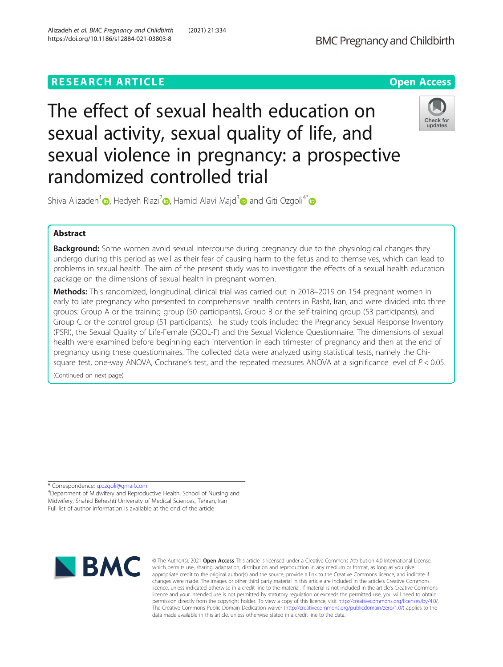## **RESEARCH ARTICLE Example 2014 12:30 The Open Access**



# The effect of sexual health education on sexual activity, sexual quality of life, and sexual violence in pregnancy: a prospective randomized controlled trial



Shiva Alizadeh<sup>1</sup> [,](https://orcid.org/0000-0002-1230-2685) Hedyeh Riazi<sup>[2](https://orcid.org/0000-0003-0346-3396)</sup> , Hamid Alavi Majd<sup>3</sup> and Giti Ozgoli<sup>4[\\*](http://orcid.org/0000-0003-2111-7024)</sup> and Giti Ozgoli<sup>4\*</sup>

## Abstract

**Background:** Some women avoid sexual intercourse during pregnancy due to the physiological changes they undergo during this period as well as their fear of causing harm to the fetus and to themselves, which can lead to problems in sexual health. The aim of the present study was to investigate the effects of a sexual health education package on the dimensions of sexual health in pregnant women.

Methods: This randomized, longitudinal, clinical trial was carried out in 2018–2019 on 154 pregnant women in early to late pregnancy who presented to comprehensive health centers in Rasht, Iran, and were divided into three groups: Group A or the training group (50 participants), Group B or the self-training group (53 participants), and Group C or the control group (51 participants). The study tools included the Pregnancy Sexual Response Inventory (PSRI), the Sexual Quality of Life-Female (SQOL-F) and the Sexual Violence Questionnaire. The dimensions of sexual health were examined before beginning each intervention in each trimester of pregnancy and then at the end of pregnancy using these questionnaires. The collected data were analyzed using statistical tests, namely the Chisquare test, one-way ANOVA, Cochrane's test, and the repeated measures ANOVA at a significance level of  $P < 0.05$ .

(Continued on next page)

\* Correspondence: [g.ozgoli@gmail.com](mailto:g.ozgoli@gmail.com) <sup>4</sup>

<sup>4</sup>Department of Midwifery and Reproductive Health, School of Nursing and Midwifery, Shahid Beheshti University of Medical Sciences, Tehran, Iran Full list of author information is available at the end of the article



© The Author(s), 2021 **Open Access** This article is licensed under a Creative Commons Attribution 4.0 International License, which permits use, sharing, adaptation, distribution and reproduction in any medium or format, as long as you give appropriate credit to the original author(s) and the source, provide a link to the Creative Commons licence, and indicate if changes were made. The images or other third party material in this article are included in the article's Creative Commons licence, unless indicated otherwise in a credit line to the material. If material is not included in the article's Creative Commons licence and your intended use is not permitted by statutory regulation or exceeds the permitted use, you will need to obtain permission directly from the copyright holder. To view a copy of this licence, visit [http://creativecommons.org/licenses/by/4.0/.](http://creativecommons.org/licenses/by/4.0/) The Creative Commons Public Domain Dedication waiver [\(http://creativecommons.org/publicdomain/zero/1.0/](http://creativecommons.org/publicdomain/zero/1.0/)) applies to the data made available in this article, unless otherwise stated in a credit line to the data.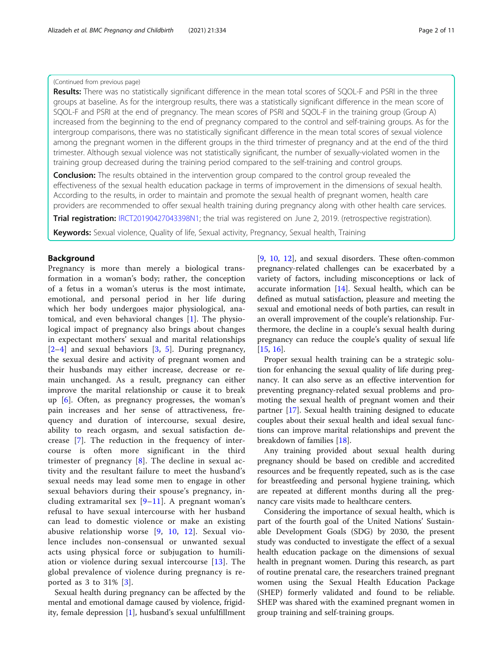## (Continued from previous page)

Results: There was no statistically significant difference in the mean total scores of SQOL-F and PSRI in the three groups at baseline. As for the intergroup results, there was a statistically significant difference in the mean score of SQOL-F and PSRI at the end of pregnancy. The mean scores of PSRI and SQOL-F in the training group (Group A) increased from the beginning to the end of pregnancy compared to the control and self-training groups. As for the intergroup comparisons, there was no statistically significant difference in the mean total scores of sexual violence among the pregnant women in the different groups in the third trimester of pregnancy and at the end of the third trimester. Although sexual violence was not statistically significant, the number of sexually-violated women in the training group decreased during the training period compared to the self-training and control groups.

**Conclusion:** The results obtained in the intervention group compared to the control group revealed the effectiveness of the sexual health education package in terms of improvement in the dimensions of sexual health. According to the results, in order to maintain and promote the sexual health of pregnant women, health care providers are recommended to offer sexual health training during pregnancy along with other health care services.

Trial registration: [IRCT20190427043398N1](https://en.irct.ir/trial/39810); the trial was registered on June 2, 2019. (retrospective registration).

Keywords: Sexual violence, Quality of life, Sexual activity, Pregnancy, Sexual health, Training

## Background

Pregnancy is more than merely a biological transformation in a woman's body; rather, the conception of a fetus in a woman's uterus is the most intimate, emotional, and personal period in her life during which her body undergoes major physiological, anatomical, and even behavioral changes [[1\]](#page-9-0). The physiological impact of pregnancy also brings about changes in expectant mothers' sexual and marital relationships [[2](#page-9-0)–[4\]](#page-9-0) and sexual behaviors [\[3](#page-9-0), [5\]](#page-9-0). During pregnancy, the sexual desire and activity of pregnant women and their husbands may either increase, decrease or remain unchanged. As a result, pregnancy can either improve the marital relationship or cause it to break up [[6\]](#page-10-0). Often, as pregnancy progresses, the woman's pain increases and her sense of attractiveness, frequency and duration of intercourse, sexual desire, ability to reach orgasm, and sexual satisfaction decrease [[7](#page-10-0)]. The reduction in the frequency of intercourse is often more significant in the third trimester of pregnancy [[8\]](#page-10-0). The decline in sexual activity and the resultant failure to meet the husband's sexual needs may lead some men to engage in other sexual behaviors during their spouse's pregnancy, including extramarital sex  $[9-11]$  $[9-11]$  $[9-11]$  $[9-11]$ . A pregnant woman's refusal to have sexual intercourse with her husband can lead to domestic violence or make an existing abusive relationship worse [[9,](#page-10-0) [10](#page-10-0), [12](#page-10-0)]. Sexual violence includes non-consensual or unwanted sexual acts using physical force or subjugation to humiliation or violence during sexual intercourse [[13\]](#page-10-0). The global prevalence of violence during pregnancy is reported as 3 to 31% [[3](#page-9-0)].

Sexual health during pregnancy can be affected by the mental and emotional damage caused by violence, frigidity, female depression [\[1\]](#page-9-0), husband's sexual unfulfillment [[9,](#page-10-0) [10](#page-10-0), [12\]](#page-10-0), and sexual disorders. These often-common pregnancy-related challenges can be exacerbated by a variety of factors, including misconceptions or lack of accurate information [\[14](#page-10-0)]. Sexual health, which can be defined as mutual satisfaction, pleasure and meeting the sexual and emotional needs of both parties, can result in an overall improvement of the couple's relationship. Furthermore, the decline in a couple's sexual health during pregnancy can reduce the couple's quality of sexual life [[15,](#page-10-0) [16\]](#page-10-0).

Proper sexual health training can be a strategic solution for enhancing the sexual quality of life during pregnancy. It can also serve as an effective intervention for preventing pregnancy-related sexual problems and promoting the sexual health of pregnant women and their partner [[17](#page-10-0)]. Sexual health training designed to educate couples about their sexual health and ideal sexual functions can improve marital relationships and prevent the breakdown of families [\[18\]](#page-10-0).

Any training provided about sexual health during pregnancy should be based on credible and accredited resources and be frequently repeated, such as is the case for breastfeeding and personal hygiene training, which are repeated at different months during all the pregnancy care visits made to healthcare centers.

Considering the importance of sexual health, which is part of the fourth goal of the United Nations' Sustainable Development Goals (SDG) by 2030, the present study was conducted to investigate the effect of a sexual health education package on the dimensions of sexual health in pregnant women. During this research, as part of routine prenatal care, the researchers trained pregnant women using the Sexual Health Education Package (SHEP) formerly validated and found to be reliable. SHEP was shared with the examined pregnant women in group training and self-training groups.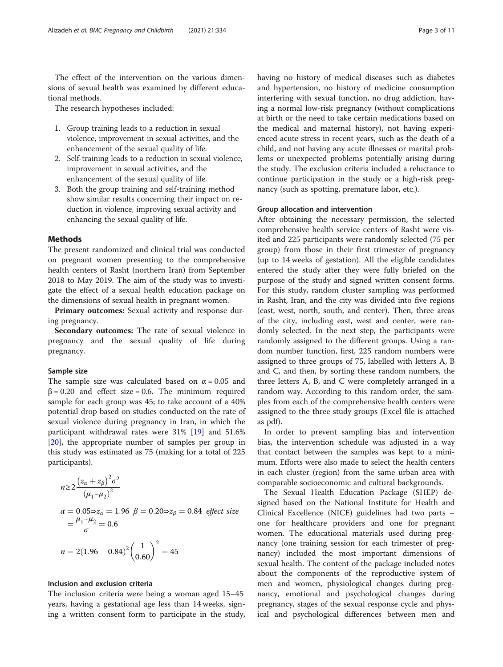The effect of the intervention on the various dimensions of sexual health was examined by different educational methods.

The research hypotheses included:

- 1. Group training leads to a reduction in sexual violence, improvement in sexual activities, and the enhancement of the sexual quality of life.
- 2. Self-training leads to a reduction in sexual violence, improvement in sexual activities, and the enhancement of the sexual quality of life.
- 3. Both the group training and self-training method show similar results concerning their impact on reduction in violence, improving sexual activity and enhancing the sexual quality of life.

## **Methods**

The present randomized and clinical trial was conducted on pregnant women presenting to the comprehensive health centers of Rasht (northern Iran) from September 2018 to May 2019. The aim of the study was to investigate the effect of a sexual health education package on the dimensions of sexual health in pregnant women.

Primary outcomes: Sexual activity and response during pregnancy.

Secondary outcomes: The rate of sexual violence in pregnancy and the sexual quality of life during pregnancy.

## Sample size

The sample size was calculated based on  $\alpha = 0.05$  and  $β = 0.20$  and effect size = 0.6. The minimum required sample for each group was 45; to take account of a 40% potential drop based on studies conducted on the rate of sexual violence during pregnancy in Iran, in which the participant withdrawal rates were 31% [[19\]](#page-10-0) and 51.6% [[20\]](#page-10-0), the appropriate number of samples per group in this study was estimated as 75 (making for a total of 225 participants).

$$
n \ge 2 \frac{(z_{\alpha} + z_{\beta})^2 \sigma^2}{(\mu_1 - \mu_2)^2}
$$
  
\n
$$
\alpha = 0.05 \Rightarrow z_{\alpha} = 1.96 \ \beta = 0.20 \Rightarrow z_{\beta} = 0.84 \ \text{effect size}
$$
  
\n
$$
= \frac{\mu_1 - \mu_2}{\sigma} = 0.6
$$
  
\n
$$
n = 2(1.96 + 0.84)^2 \left(\frac{1}{0.60}\right)^2 = 45
$$

## Inclusion and exclusion criteria

The inclusion criteria were being a woman aged 15–45 years, having a gestational age less than 14 weeks, signing a written consent form to participate in the study, having no history of medical diseases such as diabetes and hypertension, no history of medicine consumption interfering with sexual function, no drug addiction, having a normal low-risk pregnancy (without complications at birth or the need to take certain medications based on the medical and maternal history), not having experienced acute stress in recent years, such as the death of a child, and not having any acute illnesses or marital problems or unexpected problems potentially arising during the study. The exclusion criteria included a reluctance to continue participation in the study or a high-risk pregnancy (such as spotting, premature labor, etc.).

## Group allocation and intervention

After obtaining the necessary permission, the selected comprehensive health service centers of Rasht were visited and 225 participants were randomly selected (75 per group) from those in their first trimester of pregnancy (up to 14 weeks of gestation). All the eligible candidates entered the study after they were fully briefed on the purpose of the study and signed written consent forms. For this study, random cluster sampling was performed in Rasht, Iran, and the city was divided into five regions (east, west, north, south, and center). Then, three areas of the city, including east, west and center, were randomly selected. In the next step, the participants were randomly assigned to the different groups. Using a random number function, first, 225 random numbers were assigned to three groups of 75, labelled with letters A, B and C, and then, by sorting these random numbers, the three letters A, B, and C were completely arranged in a random way. According to this random order, the samples from each of the comprehensive health centers were assigned to the three study groups (Excel file is attached as pdf).

In order to prevent sampling bias and intervention bias, the intervention schedule was adjusted in a way that contact between the samples was kept to a minimum. Efforts were also made to select the health centers in each cluster (region) from the same urban area with comparable socioeconomic and cultural backgrounds.

The Sexual Health Education Package (SHEP) designed based on the National Institute for Health and Clinical Excellence (NICE) guidelines had two parts – one for healthcare providers and one for pregnant women. The educational materials used during pregnancy (one training session for each trimester of pregnancy) included the most important dimensions of sexual health. The content of the package included notes about the components of the reproductive system of men and women, physiological changes during pregnancy, emotional and psychological changes during pregnancy, stages of the sexual response cycle and physical and psychological differences between men and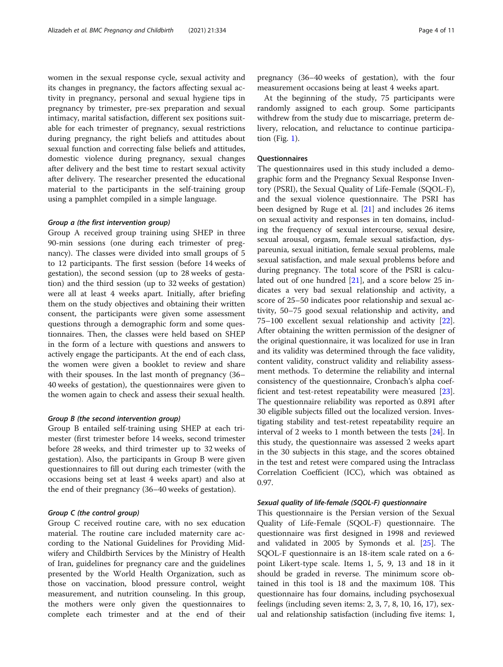women in the sexual response cycle, sexual activity and its changes in pregnancy, the factors affecting sexual activity in pregnancy, personal and sexual hygiene tips in pregnancy by trimester, pre-sex preparation and sexual intimacy, marital satisfaction, different sex positions suitable for each trimester of pregnancy, sexual restrictions during pregnancy, the right beliefs and attitudes about sexual function and correcting false beliefs and attitudes, domestic violence during pregnancy, sexual changes after delivery and the best time to restart sexual activity after delivery. The researcher presented the educational material to the participants in the self-training group using a pamphlet compiled in a simple language.

#### Group a (the first intervention group)

Group A received group training using SHEP in three 90-min sessions (one during each trimester of pregnancy). The classes were divided into small groups of 5 to 12 participants. The first session (before 14 weeks of gestation), the second session (up to 28 weeks of gestation) and the third session (up to 32 weeks of gestation) were all at least 4 weeks apart. Initially, after briefing them on the study objectives and obtaining their written consent, the participants were given some assessment questions through a demographic form and some questionnaires. Then, the classes were held based on SHEP in the form of a lecture with questions and answers to actively engage the participants. At the end of each class, the women were given a booklet to review and share with their spouses. In the last month of pregnancy (36– 40 weeks of gestation), the questionnaires were given to the women again to check and assess their sexual health.

### Group B (the second intervention group)

Group B entailed self-training using SHEP at each trimester (first trimester before 14 weeks, second trimester before 28 weeks, and third trimester up to 32 weeks of gestation). Also, the participants in Group B were given questionnaires to fill out during each trimester (with the occasions being set at least 4 weeks apart) and also at the end of their pregnancy (36–40 weeks of gestation).

## Group C (the control group)

Group C received routine care, with no sex education material. The routine care included maternity care according to the National Guidelines for Providing Midwifery and Childbirth Services by the Ministry of Health of Iran, guidelines for pregnancy care and the guidelines presented by the World Health Organization, such as those on vaccination, blood pressure control, weight measurement, and nutrition counseling. In this group, the mothers were only given the questionnaires to complete each trimester and at the end of their

pregnancy (36–40 weeks of gestation), with the four measurement occasions being at least 4 weeks apart.

At the beginning of the study, 75 participants were randomly assigned to each group. Some participants withdrew from the study due to miscarriage, preterm delivery, relocation, and reluctance to continue participation (Fig. [1](#page-4-0)).

#### **Questionnaires**

The questionnaires used in this study included a demographic form and the Pregnancy Sexual Response Inventory (PSRI), the Sexual Quality of Life-Female (SQOL-F), and the sexual violence questionnaire. The PSRI has been designed by Ruge et al. [[21\]](#page-10-0) and includes 26 items on sexual activity and responses in ten domains, including the frequency of sexual intercourse, sexual desire, sexual arousal, orgasm, female sexual satisfaction, dyspareunia, sexual initiation, female sexual problems, male sexual satisfaction, and male sexual problems before and during pregnancy. The total score of the PSRI is calculated out of one hundred [\[21](#page-10-0)], and a score below 25 indicates a very bad sexual relationship and activity, a score of 25–50 indicates poor relationship and sexual activity, 50–75 good sexual relationship and activity, and 75–100 excellent sexual relationship and activity [\[22](#page-10-0)]. After obtaining the written permission of the designer of the original questionnaire, it was localized for use in Iran and its validity was determined through the face validity, content validity, construct validity and reliability assessment methods. To determine the reliability and internal consistency of the questionnaire, Cronbach's alpha coefficient and test-retest repeatability were measured [\[23](#page-10-0)]. The questionnaire reliability was reported as 0.891 after 30 eligible subjects filled out the localized version. Investigating stability and test-retest repeatability require an interval of 2 weeks to 1 month between the tests [[24\]](#page-10-0). In this study, the questionnaire was assessed 2 weeks apart in the 30 subjects in this stage, and the scores obtained in the test and retest were compared using the Intraclass Correlation Coefficient (ICC), which was obtained as 0.97.

### Sexual quality of life-female (SQOL-F) questionnaire

This questionnaire is the Persian version of the Sexual Quality of Life-Female (SQOL-F) questionnaire. The questionnaire was first designed in 1998 and reviewed and validated in 2005 by Symonds et al. [[25\]](#page-10-0). The SQOL-F questionnaire is an 18-item scale rated on a 6 point Likert-type scale. Items 1, 5, 9, 13 and 18 in it should be graded in reverse. The minimum score obtained in this tool is 18 and the maximum 108. This questionnaire has four domains, including psychosexual feelings (including seven items: 2, 3, 7, 8, 10, 16, 17), sexual and relationship satisfaction (including five items: 1,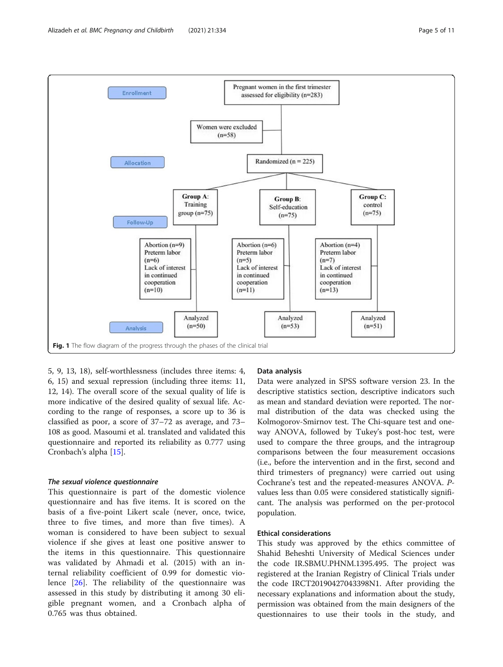<span id="page-4-0"></span>

5, 9, 13, 18), self-worthlessness (includes three items: 4, 6, 15) and sexual repression (including three items: 11, 12, 14). The overall score of the sexual quality of life is more indicative of the desired quality of sexual life. According to the range of responses, a score up to 36 is classified as poor, a score of 37–72 as average, and 73– 108 as good. Masoumi et al. translated and validated this questionnaire and reported its reliability as 0.777 using Cronbach's alpha [\[15](#page-10-0)].

## The sexual violence questionnaire

This questionnaire is part of the domestic violence questionnaire and has five items. It is scored on the basis of a five-point Likert scale (never, once, twice, three to five times, and more than five times). A woman is considered to have been subject to sexual violence if she gives at least one positive answer to the items in this questionnaire. This questionnaire was validated by Ahmadi et al. (2015) with an internal reliability coefficient of 0.99 for domestic violence [[26\]](#page-10-0). The reliability of the questionnaire was assessed in this study by distributing it among 30 eligible pregnant women, and a Cronbach alpha of 0.765 was thus obtained.

## Data analysis

Data were analyzed in SPSS software version 23. In the descriptive statistics section, descriptive indicators such as mean and standard deviation were reported. The normal distribution of the data was checked using the Kolmogorov-Smirnov test. The Chi-square test and oneway ANOVA, followed by Tukey's post-hoc test, were used to compare the three groups, and the intragroup comparisons between the four measurement occasions (i.e., before the intervention and in the first, second and third trimesters of pregnancy) were carried out using Cochrane's test and the repeated-measures ANOVA. Pvalues less than 0.05 were considered statistically significant. The analysis was performed on the per-protocol population.

## Ethical considerations

This study was approved by the ethics committee of Shahid Beheshti University of Medical Sciences under the code IR.SBMU.PHNM.1395.495. The project was registered at the Iranian Registry of Clinical Trials under the code IRCT20190427043398N1. After providing the necessary explanations and information about the study, permission was obtained from the main designers of the questionnaires to use their tools in the study, and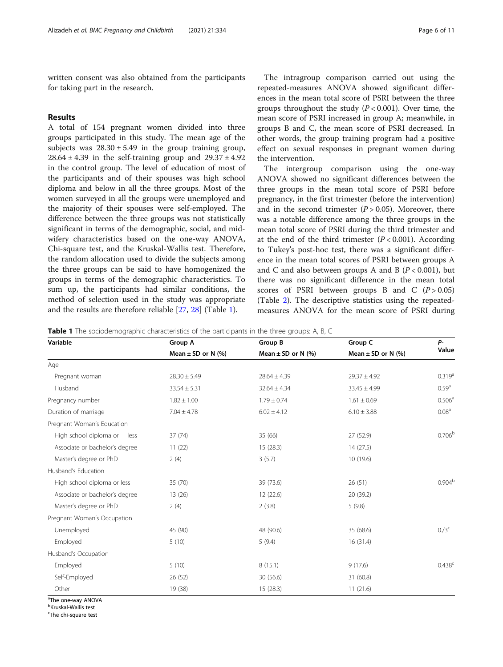written consent was also obtained from the participants for taking part in the research.

## Results

A total of 154 pregnant women divided into three groups participated in this study. The mean age of the subjects was  $28.30 \pm 5.49$  in the group training group,  $28.64 \pm 4.39$  in the self-training group and  $29.37 \pm 4.92$ in the control group. The level of education of most of the participants and of their spouses was high school diploma and below in all the three groups. Most of the women surveyed in all the groups were unemployed and the majority of their spouses were self-employed. The difference between the three groups was not statistically significant in terms of the demographic, social, and midwifery characteristics based on the one-way ANOVA, Chi-square test, and the Kruskal-Wallis test. Therefore, the random allocation used to divide the subjects among the three groups can be said to have homogenized the groups in terms of the demographic characteristics. To sum up, the participants had similar conditions, the method of selection used in the study was appropriate and the results are therefore reliable [\[27](#page-10-0), [28\]](#page-10-0) (Table 1).

The intragroup comparison carried out using the repeated-measures ANOVA showed significant differences in the mean total score of PSRI between the three groups throughout the study  $(P < 0.001)$ . Over time, the mean score of PSRI increased in group A; meanwhile, in groups B and C, the mean score of PSRI decreased. In other words, the group training program had a positive effect on sexual responses in pregnant women during the intervention.

The intergroup comparison using the one-way ANOVA showed no significant differences between the three groups in the mean total score of PSRI before pregnancy, in the first trimester (before the intervention) and in the second trimester  $(P > 0.05)$ . Moreover, there was a notable difference among the three groups in the mean total score of PSRI during the third trimester and at the end of the third trimester  $(P < 0.001)$ . According to Tukey's post-hoc test, there was a significant difference in the mean total scores of PSRI between groups A and C and also between groups A and B ( $P < 0.001$ ), but there was no significant difference in the mean total scores of PSRI between groups B and C  $(P > 0.05)$ (Table [2](#page-6-0)). The descriptive statistics using the repeatedmeasures ANOVA for the mean score of PSRI during

**Table 1** The sociodemographic characteristics of the participants in the three groups: A, B, C

| Variable                       | Group A                | Group B                | Group C                | $P-$<br>Value      |
|--------------------------------|------------------------|------------------------|------------------------|--------------------|
|                                | Mean $\pm$ SD or N (%) | Mean $\pm$ SD or N (%) | Mean $\pm$ SD or N (%) |                    |
| Age                            |                        |                        |                        |                    |
| Pregnant woman                 | $28.30 \pm 5.49$       | $28.64 \pm 4.39$       | $29.37 \pm 4.92$       | 0.319 <sup>a</sup> |
| Husband                        | $33.54 \pm 5.31$       | $32.64 \pm 4.34$       | $33.45 \pm 4.99$       | 0.59 <sup>a</sup>  |
| Pregnancy number               | $1.82 \pm 1.00$        | $1.79 \pm 0.74$        | $1.61 \pm 0.69$        | 0.506 <sup>a</sup> |
| Duration of marriage           | $7.04 \pm 4.78$        | $6.02 \pm 4.12$        | $6.10 \pm 3.88$        | $0.08^{\rm a}$     |
| Pregnant Woman's Education     |                        |                        |                        |                    |
| High school diploma or<br>less | 37(74)                 | 35 (66)                | 27 (52.9)              | 0.706 <sup>b</sup> |
| Associate or bachelor's degree | 11(22)                 | 15(28.3)               | 14(27.5)               |                    |
| Master's degree or PhD         | 2(4)                   | 3(5.7)                 | 10 (19.6)              |                    |
| Husband's Education            |                        |                        |                        |                    |
| High school diploma or less    | 35 (70)                | 39 (73.6)              | 26(51)                 | 0.904 <sup>b</sup> |
| Associate or bachelor's degree | 13(26)                 | 12 (22.6)              | 20 (39.2)              |                    |
| Master's degree or PhD         | 2(4)                   | 2(3.8)                 | 5(9.8)                 |                    |
| Pregnant Woman's Occupation    |                        |                        |                        |                    |
| Unemployed                     | 45 (90)                | 48 (90.6)              | 35 (68.6)              | 0/3 <sup>c</sup>   |
| Employed                       | 5(10)                  | 5(9.4)                 | 16(31.4)               |                    |
| Husband's Occupation           |                        |                        |                        |                    |
| Employed                       | 5(10)                  | 8(15.1)                | 9(17.6)                | 0.438c             |
| Self-Employed                  | 26 (52)                | 30 (56.6)              | 31 (60.8)              |                    |
| Other                          | 19 (38)                | 15 (28.3)              | 11(21.6)               |                    |

<sup>a</sup>The one-way ANOVA

<sup>b</sup>Kruskal-Wallis test

<sup>c</sup>The chi-square test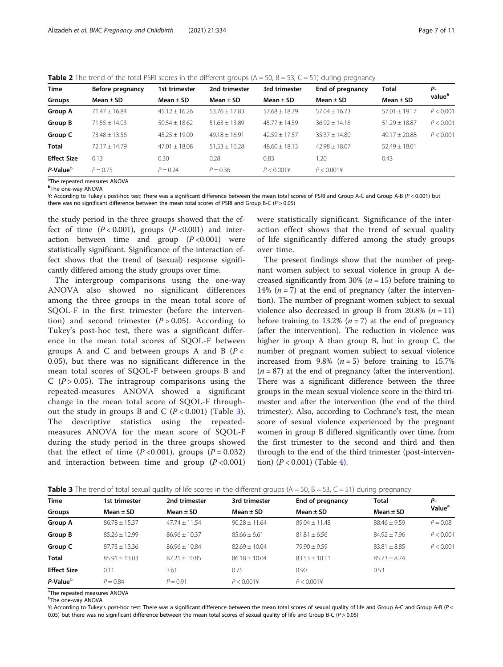<span id="page-6-0"></span>**Table 2** The trend of the total PSRI scores in the different groups  $(A = 50, B = 53, C = 51)$  during pregnancy

| <b>Time</b>        | Before pregnancy | 1st trimester     | 2nd trimester     | 3rd trimester   | End of pregnancy | <b>Total</b>      | Р-                 |
|--------------------|------------------|-------------------|-------------------|-----------------|------------------|-------------------|--------------------|
| Groups             | Mean $\pm$ SD    | Mean $\pm$ SD     | Mean $\pm$ SD     | Mean $\pm$ SD   | Mean $\pm$ SD    | Mean $\pm$ SD     | value <sup>a</sup> |
| <b>Group A</b>     | $71.47 + 16.84$  | $45.12 + 16.26$   | $53.76 \pm 17.83$ | $57.68 + 18.79$ | $57.04 + 16.73$  | $57.01 + 19.17$   | P < 0.001          |
| Group B            | $71.55 + 14.03$  | $50.54 \pm 18.62$ | $51.63 \pm 13.89$ | $45.77 + 14.59$ | $36.92 + 14.16$  | $51.29 \pm 18.87$ | P < 0.001          |
| Group C            | $73.48 + 13.56$  | $45.25 + 19.00$   | $49.18 + 16.91$   | $42.59 + 17.57$ | $35.37 + 14.80$  | $49.17 + 20.88$   | P < 0.001          |
| <b>Total</b>       | $72.17 + 14.79$  | $47.01 + 18.08$   | $51.53 + 16.28$   | $48.60 + 18.13$ | $42.98 + 18.07$  | $52.49 + 18.01$   |                    |
| <b>Effect Size</b> | 0.13             | 0.30              | 0.28              | 0.83            | 1.20             | 0.43              |                    |
| $P-Value^b$        | $P = 0.75$       | $P = 0.24$        | $P = 0.36$        | P < 0.0014      | P < 0.0014       |                   |                    |

<sup>a</sup>The repeated measures ANOVA

**b**The one-way ANOVA

¥: According to Tukey's post-hoc test: There was a significant difference between the mean total scores of PSRI and Group A-C and Group A-B (P < 0.001) but there was no significant difference between the mean total scores of PSRI and Group B-C ( $P > 0.05$ )

the study period in the three groups showed that the effect of time  $(P < 0.001)$ , groups  $(P < 0.001)$  and interaction between time and group  $(P<0.001)$  were statistically significant. Significance of the interaction effect shows that the trend of (sexual) response significantly differed among the study groups over time.

The intergroup comparisons using the one-way ANOVA also showed no significant differences among the three groups in the mean total score of SQOL-F in the first trimester (before the intervention) and second trimester  $(P > 0.05)$ . According to Tukey's post-hoc test, there was a significant difference in the mean total scores of SQOL-F between groups A and C and between groups A and B  $(P \lt c)$ 0.05), but there was no significant difference in the mean total scores of SQOL-F between groups B and C ( $P > 0.05$ ). The intragroup comparisons using the repeated-measures ANOVA showed a significant change in the mean total score of SQOL-F throughout the study in groups B and C  $(P < 0.001)$  (Table 3). The descriptive statistics using the repeatedmeasures ANOVA for the mean score of SQOL-F during the study period in the three groups showed that the effect of time  $(P<0.001)$ , groups  $(P = 0.032)$ and interaction between time and group  $(P<0.001)$ 

were statistically significant. Significance of the interaction effect shows that the trend of sexual quality of life significantly differed among the study groups over time.

The present findings show that the number of pregnant women subject to sexual violence in group A decreased significantly from 30% ( $n = 15$ ) before training to 14%  $(n = 7)$  at the end of pregnancy (after the intervention). The number of pregnant women subject to sexual violence also decreased in group B from 20.8%  $(n = 11)$ before training to 13.2% ( $n = 7$ ) at the end of pregnancy (after the intervention). The reduction in violence was higher in group A than group B, but in group C, the number of pregnant women subject to sexual violence increased from 9.8%  $(n = 5)$  before training to 15.7%  $(n = 87)$  at the end of pregnancy (after the intervention). There was a significant difference between the three groups in the mean sexual violence score in the third trimester and after the intervention (the end of the third trimester). Also, according to Cochrane's test, the mean score of sexual violence experienced by the pregnant women in group B differed significantly over time, from the first trimester to the second and third and then through to the end of the third trimester (post-intervention)  $(P < 0.001)$  (Table [4\)](#page-7-0).

| Time               | 1st trimester     | 2nd trimester     | 3rd trimester     | End of pregnancy  | <b>Total</b>     | Р-                 |
|--------------------|-------------------|-------------------|-------------------|-------------------|------------------|--------------------|
| Groups             | Mean $\pm$ SD     | Mean $\pm$ SD     | Mean $\pm$ SD     | Mean $\pm$ SD     | Mean $\pm$ SD    | Value <sup>a</sup> |
| Group A            | $86.78 \pm 15.37$ | $47.74 \pm 11.54$ | $90.28 \pm 11.64$ | $89.04 \pm 11.48$ | $88.46 \pm 9.59$ | $P = 0.08$         |
| Group B            | $85.26 \pm 12.99$ | $86.96 + 10.37$   | $85.66 \pm 6.61$  | $81.81 \pm 6.56$  | $84.92 \pm 7.96$ | P < 0.001          |
| Group C            | $87.73 + 13.36$   | $86.96 + 10.84$   | $82.69 + 10.04$   | $79.90 + 9.59$    | $83.81 \pm 8.85$ | P < 0.001          |
| Total              | $85.91 \pm 13.03$ | $87.21 + 10.85$   | $86.18 \pm 10.04$ | $83.53 + 10.11$   | $85.73 \pm 8.74$ |                    |
| <b>Effect Size</b> | 0.11              | 3.61              | 0.75              | 0.90              | 0.53             |                    |
| P-Value $^{\rm b}$ | $P = 0.84$        | $P = 0.91$        | P < 0.0014        | P < 0.0014        |                  |                    |

**Table 3** The trend of total sexual quality of life scores in the different groups  $(A = 50, B = 53, C = 51)$  during pregnancy

<sup>a</sup>The repeated measures ANOVA

<sup>b</sup>The one-way ANOVA

¥: According to Tukey's post-hoc test: There was a significant difference between the mean total scores of sexual quality of life and Group A-C and Group A-B (P < 0.05) but there was no significant difference between the mean total scores of sexual quality of life and Group B-C ( $P > 0.05$ )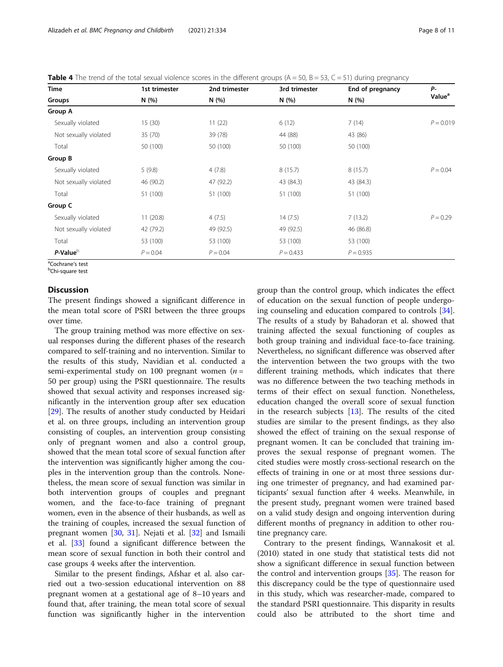<span id="page-7-0"></span>

| <b>Table 4</b> The trend of the total sexual violence scores in the different groups ( $A = 50$ , $B = 53$ , $C = 51$ ) during pregnancy |  |
|------------------------------------------------------------------------------------------------------------------------------------------|--|
|------------------------------------------------------------------------------------------------------------------------------------------|--|

| Time<br>Groups        | 1st trimester<br>N(%) | 2nd trimester | 3rd trimester | End of pregnancy | <b>P</b> -<br>Value <sup>a</sup> |
|-----------------------|-----------------------|---------------|---------------|------------------|----------------------------------|
|                       |                       | N (%)         | N (%)         | N(%)             |                                  |
| Group A               |                       |               |               |                  |                                  |
| Sexually violated     | 15(30)                | 11(22)        | 6(12)         | 7(14)            | $P = 0.019$                      |
| Not sexually violated | 35 (70)               | 39 (78)       | 44 (88)       | 43 (86)          |                                  |
| Total                 | 50 (100)              | 50 (100)      | 50 (100)      | 50 (100)         |                                  |
| Group B               |                       |               |               |                  |                                  |
| Sexually violated     | 5(9.8)                | 4(7.8)        | 8(15.7)       | 8(15.7)          | $P = 0.04$                       |
| Not sexually violated | 46 (90.2)             | 47 (92.2)     | 43 (84.3)     | 43 (84.3)        |                                  |
| Total                 | 51 (100)              | 51 (100)      | 51 (100)      | 51 (100)         |                                  |
| Group C               |                       |               |               |                  |                                  |
| Sexually violated     | 11(20.8)              | 4(7.5)        | 14(7.5)       | 7(13.2)          | $P = 0.29$                       |
| Not sexually violated | 42 (79.2)             | 49 (92.5)     | 49 (92.5)     | 46 (86.8)        |                                  |
| Total                 | 53 (100)              | 53 (100)      | 53 (100)      | 53 (100)         |                                  |
| P-Value <sup>b</sup>  | $P = 0.04$            | $P = 0.04$    | $P = 0.433$   | $P = 0.935$      |                                  |

<sup>a</sup>Cochrane's test<br><sup>b</sup>Chi-square test

Chi-square test

## **Discussion**

The present findings showed a significant difference in the mean total score of PSRI between the three groups over time.

The group training method was more effective on sexual responses during the different phases of the research compared to self-training and no intervention. Similar to the results of this study, Navidian et al. conducted a semi-experimental study on 100 pregnant women ( $n =$ 50 per group) using the PSRI questionnaire. The results showed that sexual activity and responses increased significantly in the intervention group after sex education [[29\]](#page-10-0). The results of another study conducted by Heidari et al. on three groups, including an intervention group consisting of couples, an intervention group consisting only of pregnant women and also a control group, showed that the mean total score of sexual function after the intervention was significantly higher among the couples in the intervention group than the controls. Nonetheless, the mean score of sexual function was similar in both intervention groups of couples and pregnant women, and the face-to-face training of pregnant women, even in the absence of their husbands, as well as the training of couples, increased the sexual function of pregnant women [[30](#page-10-0), [31\]](#page-10-0). Nejati et al. [[32\]](#page-10-0) and Ismaili et al. [[33](#page-10-0)] found a significant difference between the mean score of sexual function in both their control and case groups 4 weeks after the intervention.

Similar to the present findings, Afshar et al. also carried out a two-session educational intervention on 88 pregnant women at a gestational age of 8–10 years and found that, after training, the mean total score of sexual function was significantly higher in the intervention

group than the control group, which indicates the effect of education on the sexual function of people undergoing counseling and education compared to controls [\[34](#page-10-0)]. The results of a study by Bahadoran et al. showed that training affected the sexual functioning of couples as both group training and individual face-to-face training. Nevertheless, no significant difference was observed after the intervention between the two groups with the two different training methods, which indicates that there was no difference between the two teaching methods in terms of their effect on sexual function. Nonetheless, education changed the overall score of sexual function in the research subjects  $[13]$ . The results of the cited studies are similar to the present findings, as they also showed the effect of training on the sexual response of pregnant women. It can be concluded that training improves the sexual response of pregnant women. The cited studies were mostly cross-sectional research on the effects of training in one or at most three sessions during one trimester of pregnancy, and had examined participants' sexual function after 4 weeks. Meanwhile, in the present study, pregnant women were trained based on a valid study design and ongoing intervention during different months of pregnancy in addition to other routine pregnancy care.

Contrary to the present findings, Wannakosit et al. (2010) stated in one study that statistical tests did not show a significant difference in sexual function between the control and intervention groups [\[35\]](#page-10-0). The reason for this discrepancy could be the type of questionnaire used in this study, which was researcher-made, compared to the standard PSRI questionnaire. This disparity in results could also be attributed to the short time and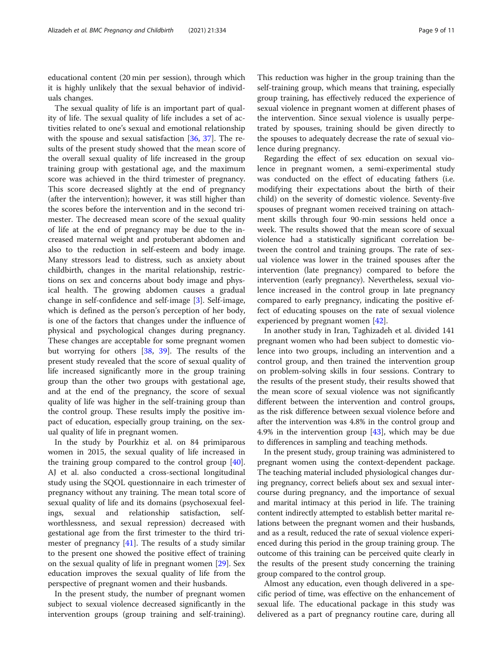educational content (20 min per session), through which it is highly unlikely that the sexual behavior of individuals changes.

The sexual quality of life is an important part of quality of life. The sexual quality of life includes a set of activities related to one's sexual and emotional relationship with the spouse and sexual satisfaction [\[36,](#page-10-0) [37](#page-10-0)]. The results of the present study showed that the mean score of the overall sexual quality of life increased in the group training group with gestational age, and the maximum score was achieved in the third trimester of pregnancy. This score decreased slightly at the end of pregnancy (after the intervention); however, it was still higher than the scores before the intervention and in the second trimester. The decreased mean score of the sexual quality of life at the end of pregnancy may be due to the increased maternal weight and protuberant abdomen and also to the reduction in self-esteem and body image. Many stressors lead to distress, such as anxiety about childbirth, changes in the marital relationship, restrictions on sex and concerns about body image and physical health. The growing abdomen causes a gradual change in self-confidence and self-image [[3\]](#page-9-0). Self-image, which is defined as the person's perception of her body, is one of the factors that changes under the influence of physical and psychological changes during pregnancy. These changes are acceptable for some pregnant women but worrying for others [\[38](#page-10-0), [39](#page-10-0)]. The results of the present study revealed that the score of sexual quality of life increased significantly more in the group training group than the other two groups with gestational age, and at the end of the pregnancy, the score of sexual quality of life was higher in the self-training group than the control group. These results imply the positive impact of education, especially group training, on the sexual quality of life in pregnant women.

In the study by Pourkhiz et al. on 84 primiparous women in 2015, the sexual quality of life increased in the training group compared to the control group [\[40](#page-10-0)]. AJ et al. also conducted a cross-sectional longitudinal study using the SQOL questionnaire in each trimester of pregnancy without any training. The mean total score of sexual quality of life and its domains (psychosexual feelings, sexual and relationship satisfaction, selfworthlessness, and sexual repression) decreased with gestational age from the first trimester to the third trimester of pregnancy [\[41](#page-10-0)]. The results of a study similar to the present one showed the positive effect of training on the sexual quality of life in pregnant women [\[29\]](#page-10-0). Sex education improves the sexual quality of life from the perspective of pregnant women and their husbands.

In the present study, the number of pregnant women subject to sexual violence decreased significantly in the intervention groups (group training and self-training).

This reduction was higher in the group training than the self-training group, which means that training, especially group training, has effectively reduced the experience of sexual violence in pregnant women at different phases of the intervention. Since sexual violence is usually perpetrated by spouses, training should be given directly to the spouses to adequately decrease the rate of sexual violence during pregnancy.

Regarding the effect of sex education on sexual violence in pregnant women, a semi-experimental study was conducted on the effect of educating fathers (i.e. modifying their expectations about the birth of their child) on the severity of domestic violence. Seventy-five spouses of pregnant women received training on attachment skills through four 90-min sessions held once a week. The results showed that the mean score of sexual violence had a statistically significant correlation between the control and training groups. The rate of sexual violence was lower in the trained spouses after the intervention (late pregnancy) compared to before the intervention (early pregnancy). Nevertheless, sexual violence increased in the control group in late pregnancy compared to early pregnancy, indicating the positive effect of educating spouses on the rate of sexual violence experienced by pregnant women [\[42](#page-10-0)].

In another study in Iran, Taghizadeh et al. divided 141 pregnant women who had been subject to domestic violence into two groups, including an intervention and a control group, and then trained the intervention group on problem-solving skills in four sessions. Contrary to the results of the present study, their results showed that the mean score of sexual violence was not significantly different between the intervention and control groups, as the risk difference between sexual violence before and after the intervention was 4.8% in the control group and 4.9% in the intervention group [[43](#page-10-0)], which may be due to differences in sampling and teaching methods.

In the present study, group training was administered to pregnant women using the context-dependent package. The teaching material included physiological changes during pregnancy, correct beliefs about sex and sexual intercourse during pregnancy, and the importance of sexual and marital intimacy at this period in life. The training content indirectly attempted to establish better marital relations between the pregnant women and their husbands, and as a result, reduced the rate of sexual violence experienced during this period in the group training group. The outcome of this training can be perceived quite clearly in the results of the present study concerning the training group compared to the control group.

Almost any education, even though delivered in a specific period of time, was effective on the enhancement of sexual life. The educational package in this study was delivered as a part of pregnancy routine care, during all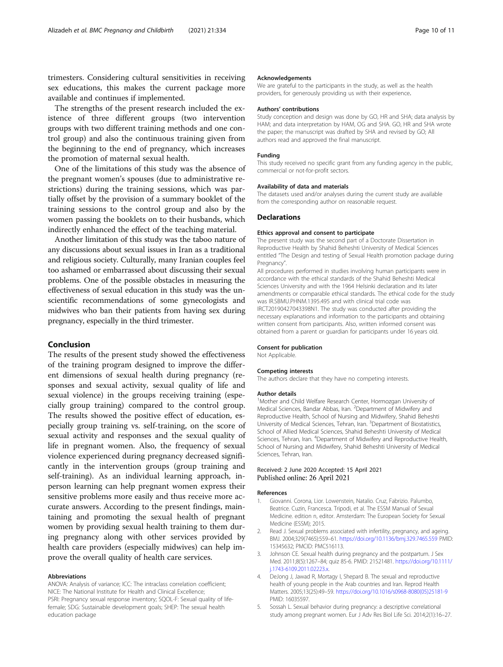<span id="page-9-0"></span>trimesters. Considering cultural sensitivities in receiving sex educations, this makes the current package more available and continues if implemented.

The strengths of the present research included the existence of three different groups (two intervention groups with two different training methods and one control group) and also the continuous training given from the beginning to the end of pregnancy, which increases the promotion of maternal sexual health.

One of the limitations of this study was the absence of the pregnant women's spouses (due to administrative restrictions) during the training sessions, which was partially offset by the provision of a summary booklet of the training sessions to the control group and also by the women passing the booklets on to their husbands, which indirectly enhanced the effect of the teaching material.

Another limitation of this study was the taboo nature of any discussions about sexual issues in Iran as a traditional and religious society. Culturally, many Iranian couples feel too ashamed or embarrassed about discussing their sexual problems. One of the possible obstacles in measuring the effectiveness of sexual education in this study was the unscientific recommendations of some gynecologists and midwives who ban their patients from having sex during pregnancy, especially in the third trimester.

## Conclusion

The results of the present study showed the effectiveness of the training program designed to improve the different dimensions of sexual health during pregnancy (responses and sexual activity, sexual quality of life and sexual violence) in the groups receiving training (especially group training) compared to the control group. The results showed the positive effect of education, especially group training vs. self-training, on the score of sexual activity and responses and the sexual quality of life in pregnant women. Also, the frequency of sexual violence experienced during pregnancy decreased significantly in the intervention groups (group training and self-training). As an individual learning approach, inperson learning can help pregnant women express their sensitive problems more easily and thus receive more accurate answers. According to the present findings, maintaining and promoting the sexual health of pregnant women by providing sexual health training to them during pregnancy along with other services provided by health care providers (especially midwives) can help improve the overall quality of health care services.

#### Abbreviations

ANOVA: Analysis of variance; ICC: The intraclass correlation coefficient; NICE: The National Institute for Health and Clinical Excellence; PSRI: Pregnancy sexual response inventory; SQOL-F: Sexual quality of lifefemale; SDG: Sustainable development goals; SHEP: The sexual health education package

#### Acknowledgements

We are grateful to the participants in the study, as well as the health providers, for generously providing us with their experience.

#### Authors' contributions

Study conception and design was done by GO, HR and SHA; data analysis by HAM; and data interpretation by HAM, OG and SHA. GO, HR and SHA wrote the paper; the manuscript was drafted by SHA and revised by GO; All authors read and approved the final manuscript.

#### Funding

This study received no specific grant from any funding agency in the public, commercial or not-for-profit sectors.

#### Availability of data and materials

The datasets used and/or analyses during the current study are available from the corresponding author on reasonable request.

### Declarations

#### Ethics approval and consent to participate

The present study was the second part of a Doctorate Dissertation in Reproductive Health by Shahid Beheshti University of Medical Sciences entitled "The Design and testing of Sexual Health promotion package during Pregnancy".

All procedures performed in studies involving human participants were in accordance with the ethical standards of the Shahid Beheshti Medical Sciences University and with the 1964 Helsinki declaration and its later amendments or comparable ethical standards. The ethical code for the study was IR.SBMU.PHNM.1395.495 and with clinical trial code was IRCT20190427043398N1. The study was conducted after providing the necessary explanations and information to the participants and obtaining written consent from participants. Also, written informed consent was obtained from a parent or guardian for participants under 16 years old.

#### Consent for publication

Not Applicable.

#### Competing interests

The authors declare that they have no competing interests.

#### Author details

<sup>1</sup>Mother and Child Welfare Research Center, Hormozgan University of Medical Sciences, Bandar Abbas, Iran. <sup>2</sup>Department of Midwifery and Reproductive Health, School of Nursing and Midwifery, Shahid Beheshti University of Medical Sciences, Tehran, Iran. <sup>3</sup>Department of Biostatistics School of Allied Medical Sciences, Shahid Beheshti University of Medical Sciences, Tehran, Iran. <sup>4</sup>Department of Midwifery and Reproductive Health School of Nursing and Midwifery, Shahid Beheshti University of Medical Sciences, Tehran, Iran.

## Received: 2 June 2020 Accepted: 15 April 2021 Published online: 26 April 2021

#### References

- 1. Giovanni. Corona, Lior. Lowenstein, Natalio. Cruz, Fabrizio. Palumbo, Beatrice. Cuzin, Francesca. Tripodi, et al. The ESSM Manual of Sexual Medicine. edition n, editor. Amsterdam: The European Society for Sexual Medicine (ESSM); 2015.
- Read J. Sexual problems associated with infertility, pregnancy, and ageing. BMJ. 2004;329(7465):559–61. <https://doi.org/10.1136/bmj.329.7465.559> PMID: 15345632; PMCID: PMC516113.
- 3. Johnson CE. Sexual health during pregnancy and the postpartum. J Sex Med. 2011;8(5):1267–84; quiz 85-6. PMID: 21521481. [https://doi.org/10.1111/](https://doi.org/10.1111/j.1743-6109.2011.02223.x) [j.1743-6109.2011.02223.x](https://doi.org/10.1111/j.1743-6109.2011.02223.x).
- 4. DeJong J, Jawad R, Mortagy I, Shepard B. The sexual and reproductive health of young people in the Arab countries and Iran. Reprod Health Matters. 2005;13(25):49–59. [https://doi.org/10.1016/s0968-8080\(05\)25181-9](https://doi.org/10.1016/s0968-8080(05)25181-9) PMID: 16035597.
- 5. Sossah L. Sexual behavior during pregnancy: a descriptive correlational study among pregnant women. Eur J Adv Res Biol Life Sci. 2014;2(1):16–27.